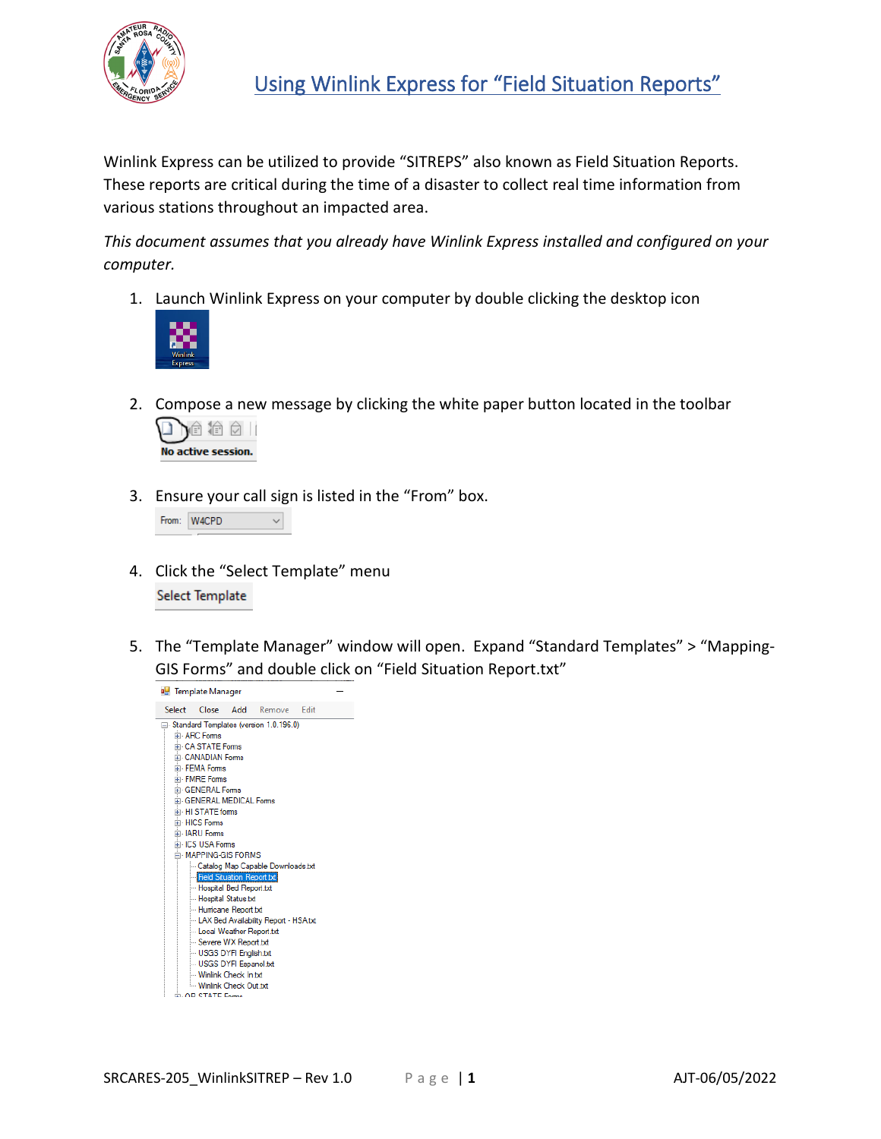

Winlink Express can be utilized to provide "SITREPS" also known as Field Situation Reports. These reports are critical during the time of a disaster to collect real time information from various stations throughout an impacted area.

*This document assumes that you already have Winlink Express installed and configured on your computer.*

1. Launch Winlink Express on your computer by double clicking the desktop icon



2. Compose a new message by clicking the white paper button located in the toolbar



3. Ensure your call sign is listed in the "From" box.

|  | From: W4CPD |  |
|--|-------------|--|
|--|-------------|--|

- 4. Click the "Select Template" menu Select Template
- 5. The "Template Manager" window will open. Expand "Standard Templates" > "Mapping-GIS Forms" and double click on "Field Situation Report.txt"

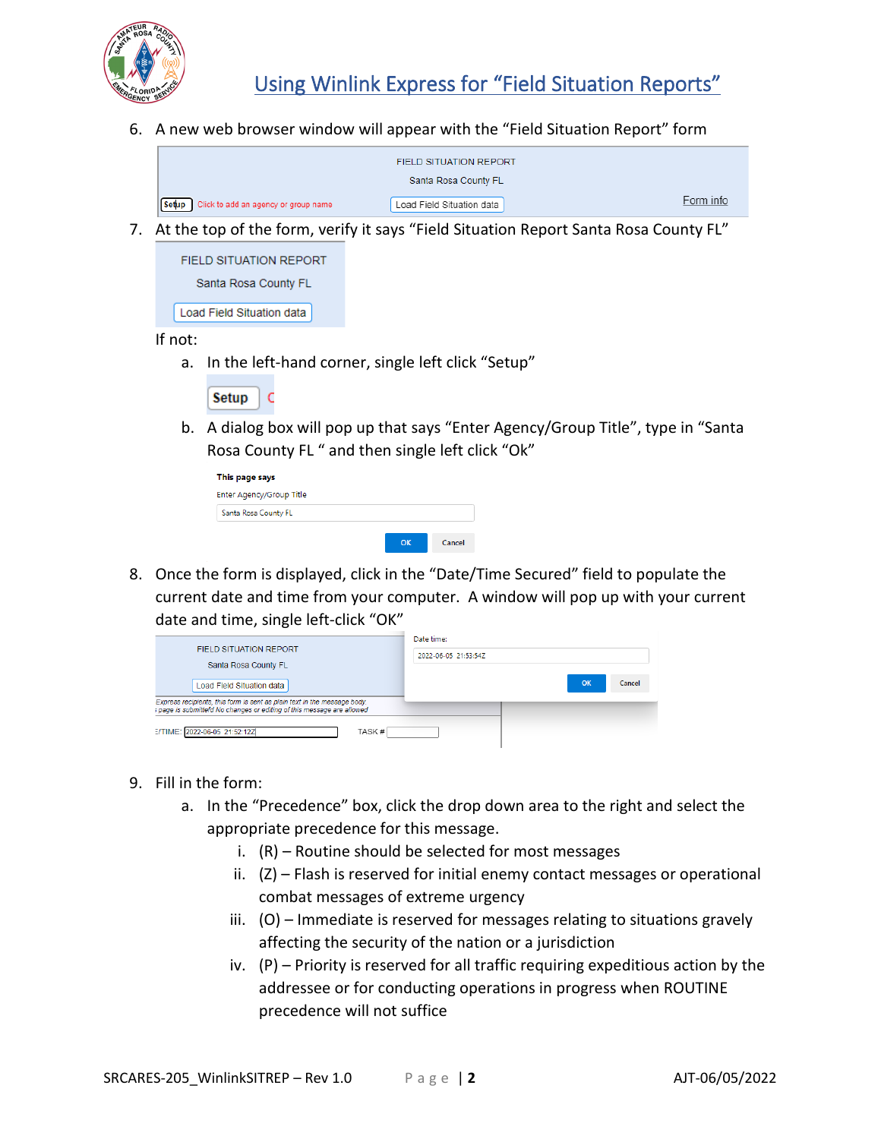

6. A new web browser window will appear with the "Field Situation Report" form

| <b>FIELD SITUATION REPORT</b>              |                           |           |
|--------------------------------------------|---------------------------|-----------|
|                                            | Santa Rosa County FL      |           |
| Setup Click to add an agency or group name | Load Field Situation data | Form info |

7. At the top of the form, verify it says "Field Situation Report Santa Rosa County FL"

| <b>FIELD SITUATION REPORT</b> |  |  |  |
|-------------------------------|--|--|--|
| Santa Rosa County FL          |  |  |  |
| Load Field Situation data     |  |  |  |

If not:

a. In the left-hand corner, single left click "Setup"

| ____ |  |
|------|--|

b. A dialog box will pop up that says "Enter Agency/Group Title", type in "Santa Rosa County FL " and then single left click "Ok"

| This page says           |  |  |
|--------------------------|--|--|
| Enter Agency/Group Title |  |  |
| Santa Rosa County FL     |  |  |
|                          |  |  |

8. Once the form is displayed, click in the "Date/Time Secured" field to populate the current date and time from your computer. A window will pop up with your current date and time, single left-click "OK"

|                                                                                                                                                    | Date time:           |  |  |
|----------------------------------------------------------------------------------------------------------------------------------------------------|----------------------|--|--|
| <b>FIELD SITUATION REPORT</b>                                                                                                                      | 2022-06-05 21:53:547 |  |  |
| Santa Rosa County FL                                                                                                                               |                      |  |  |
| Load Field Situation data                                                                                                                          | OK<br>Cancel         |  |  |
| Express recipients, this form is sent as plain text in the message body.<br>s page is submittefd No changes or editing of this message are allowed |                      |  |  |
|                                                                                                                                                    |                      |  |  |
| E/TIME: 2022-06-05 21:52:12Z<br>TASK#                                                                                                              |                      |  |  |

- 9. Fill in the form:
	- a. In the "Precedence" box, click the drop down area to the right and select the appropriate precedence for this message.
		- i. (R) Routine should be selected for most messages
		- ii. (Z) Flash is reserved for initial enemy contact messages or operational combat messages of extreme urgency
		- iii. (O) Immediate is reserved for messages relating to situations gravely affecting the security of the nation or a jurisdiction
		- iv. (P) Priority is reserved for all traffic requiring expeditious action by the addressee or for conducting operations in progress when ROUTINE precedence will not suffice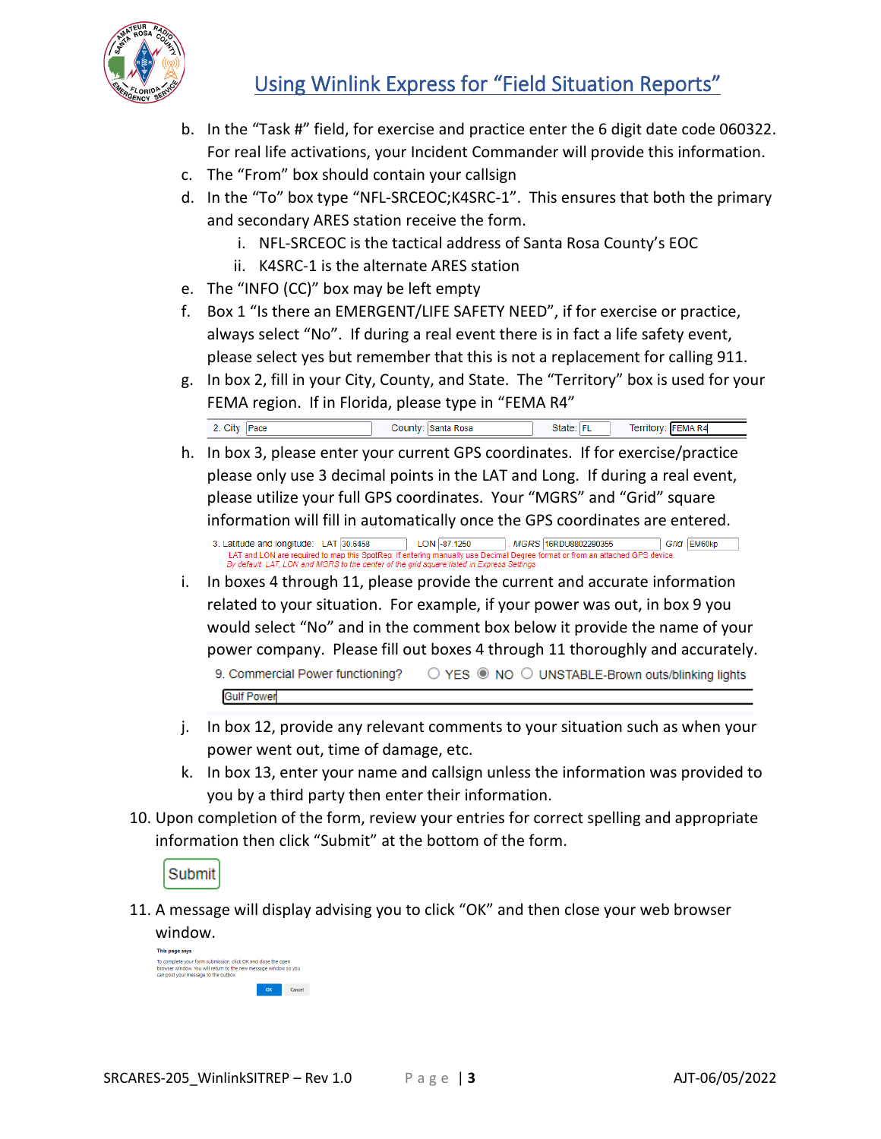

## Using Winlink Express for "Field Situation Reports"

- b. In the "Task #" field, for exercise and practice enter the 6 digit date code 060322. For real life activations, your Incident Commander will provide this information.
- c. The "From" box should contain your callsign
- d. In the "To" box type "NFL-SRCEOC;K4SRC-1". This ensures that both the primary and secondary ARES station receive the form.
	- i. NFL-SRCEOC is the tactical address of Santa Rosa County's EOC
	- ii. K4SRC-1 is the alternate ARES station
- e. The "INFO (CC)" box may be left empty
- f. Box 1 "Is there an EMERGENT/LIFE SAFETY NEED", if for exercise or practice, always select "No". If during a real event there is in fact a life safety event, please select yes but remember that this is not a replacement for calling 911.
- g. In box 2, fill in your City, County, and State. The "Territory" box is used for your FEMA region. If in Florida, please type in "FEMA R4"

2. City Pace County: Santa Rosa State: FL Territory: FEMA R4

h. In box 3, please enter your current GPS coordinates. If for exercise/practice please only use 3 decimal points in the LAT and Long. If during a real event, please utilize your full GPS coordinates. Your "MGRS" and "Grid" square information will fill in automatically once the GPS coordinates are entered.

3. Latitude and longitude: LAT 30.6458  $\begin{array}{|c|c|c|c|}\n\hline\n\text{LON} & -87.1250 \\
\hline\n\end{array}$ MGRS 16RDU8802290355 Grid EM60kp LAT and LON are required to map this SpotRep. If enterin<br>By default LAT, LON and MGRS to the center of the grid s mal Degree format or from an a ed in Express Seti

i. In boxes 4 through 11, please provide the current and accurate information related to your situation. For example, if your power was out, in box 9 you would select "No" and in the comment box below it provide the name of your power company. Please fill out boxes 4 through 11 thoroughly and accurately.

9. Commercial Power functioning? ○ YES ● NO ○ UNSTABLE-Brown outs/blinking lights **Gulf Power** 

- j. In box 12, provide any relevant comments to your situation such as when your power went out, time of damage, etc.
- k. In box 13, enter your name and callsign unless the information was provided to you by a third party then enter their information.
- 10. Upon completion of the form, review your entries for correct spelling and appropriate information then click "Submit" at the bottom of the form.

Submit

11. A message will display advising you to click "OK" and then close your web browser window.

| This page says                                                                                                                                                           |  |  |
|--------------------------------------------------------------------------------------------------------------------------------------------------------------------------|--|--|
| To complete your form submission, click OK and close the open<br>prowser window. You will return to the new message window so you<br>can post your message to the outbox |  |  |
|                                                                                                                                                                          |  |  |